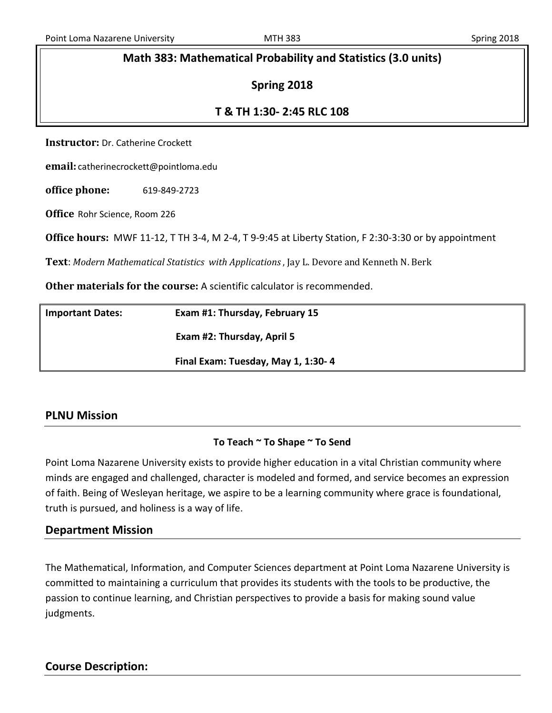#### **Math 383: Mathematical Probability and Statistics (3.0 units)**

#### **Spring 2018**

#### **T & TH 1:30- 2:45 RLC 108**

**Instructor:** Dr. Catherine Crockett

**email:** catherinecrockett@pointloma.edu

**office phone:** 619-849-2723

**Office** Rohr Science, Room 226

**Office hours:** MWF 11-12, T TH 3-4, M 2-4, T 9-9:45 at Liberty Station, F 2:30-3:30 or by appointment

**Text**: *Modern Mathematical Statistics with Applications* , Jay L. Devore and Kenneth N. Berk

**Other materials for the course:** A scientific calculator is recommended.

| <b>Important Dates:</b> | Exam #1: Thursday, February 15     |  |
|-------------------------|------------------------------------|--|
|                         | Exam #2: Thursday, April 5         |  |
|                         | Final Exam: Tuesday, May 1, 1:30-4 |  |

#### **PLNU Mission**

#### **To Teach ~ To Shape ~ To Send**

Point Loma Nazarene University exists to provide higher education in a vital Christian community where minds are engaged and challenged, character is modeled and formed, and service becomes an expression of faith. Being of Wesleyan heritage, we aspire to be a learning community where grace is foundational, truth is pursued, and holiness is a way of life.

#### **Department Mission**

The Mathematical, Information, and Computer Sciences department at Point Loma Nazarene University is committed to maintaining a curriculum that provides its students with the tools to be productive, the passion to continue learning, and Christian perspectives to provide a basis for making sound value judgments.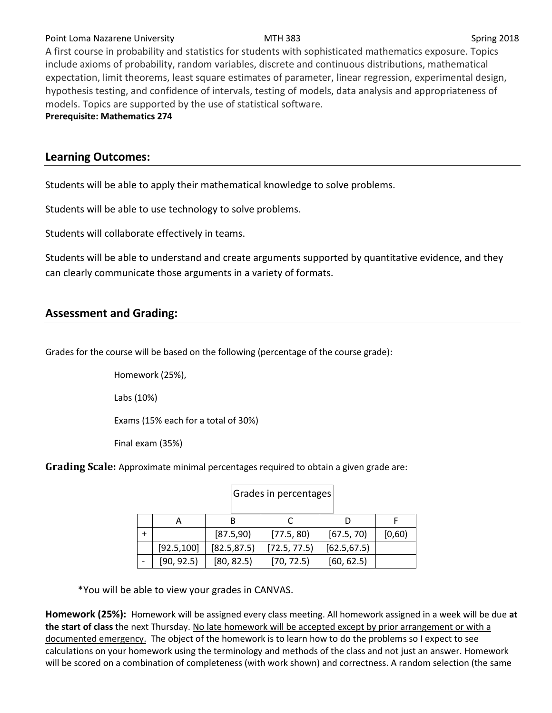#### Point Loma Nazarene University **MTH 383** Spring 2018

A first course in probability and statistics for students with sophisticated mathematics exposure. Topics include axioms of probability, random variables, discrete and continuous distributions, mathematical expectation, limit theorems, least square estimates of parameter, linear regression, experimental design, hypothesis testing, and confidence of intervals, testing of models, data analysis and appropriateness of models. Topics are supported by the use of statistical software.

**Prerequisite: Mathematics 274**

#### **Learning Outcomes:**

Students will be able to apply their mathematical knowledge to solve problems.

Students will be able to use technology to solve problems.

Students will collaborate effectively in teams.

Students will be able to understand and create arguments supported by quantitative evidence, and they can clearly communicate those arguments in a variety of formats.

#### **Assessment and Grading:**

Grades for the course will be based on the following (percentage of the course grade):

Homework (25%),

Labs (10%)

Exams (15% each for a total of 30%)

Final exam (35%)

**Grading Scale:** Approximate minimal percentages required to obtain a given grade are:

|             | [87.5,90]    | [77.5, 80]   | [67.5, 70]   | [0,60) |
|-------------|--------------|--------------|--------------|--------|
| [92.5, 100] | [82.5, 87.5] | [72.5, 77.5] | [62.5, 67.5] |        |
| [90, 92.5]  | [80, 82.5]   | [70, 72.5]   | [60, 62.5]   |        |

Grades in percentages

\*You will be able to view your grades in CANVAS.

| Homework (25%): Homework will be assigned every class meeting. All homework assigned in a week will be due at   |
|-----------------------------------------------------------------------------------------------------------------|
| the start of class the next Thursday. No late homework will be accepted except by prior arrangement or with a   |
| documented emergency. The object of the homework is to learn how to do the problems so I expect to see          |
| calculations on your homework using the terminology and methods of the class and not just an answer. Homework   |
| will be scored on a combination of completeness (with work shown) and correctness. A random selection (the same |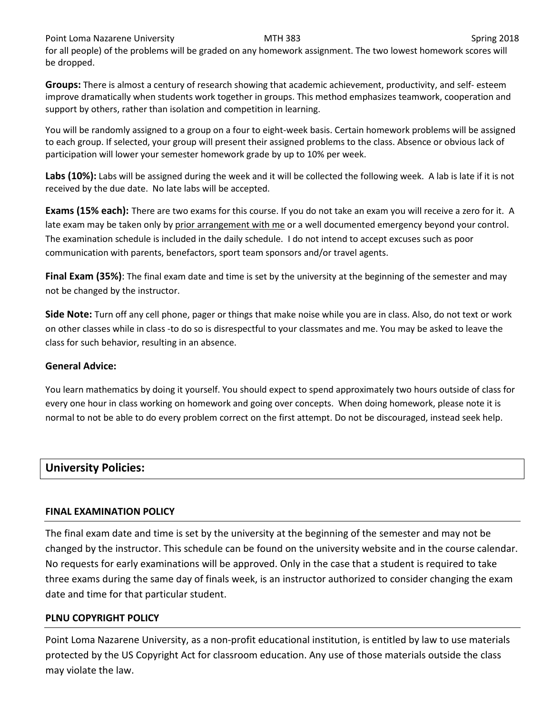Point Loma Nazarene University **MTH 383** Spring 2018

for all people) of the problems will be graded on any homework assignment. The two lowest homework scores will be dropped.

**Groups:** There is almost a century of research showing that academic achievement, productivity, and self- esteem improve dramatically when students work together in groups. This method emphasizes teamwork, cooperation and support by others, rather than isolation and competition in learning.

You will be randomly assigned to a group on a four to eight-week basis. Certain homework problems will be assigned to each group. If selected, your group will present their assigned problems to the class. Absence or obvious lack of participation will lower your semester homework grade by up to 10% per week.

**Labs (10%):** Labs will be assigned during the week and it will be collected the following week. A lab is late if it is not received by the due date. No late labs will be accepted.

**Exams (15% each):** There are two exams for this course. If you do not take an exam you will receive a zero for it. A late exam may be taken only by prior arrangement with me or a well documented emergency beyond your control. The examination schedule is included in the daily schedule. I do not intend to accept excuses such as poor communication with parents, benefactors, sport team sponsors and/or travel agents.

**Final Exam (35%)**: The final exam date and time is set by the university at the beginning of the semester and may not be changed by the instructor.

**Side Note:** Turn off any cell phone, pager or things that make noise while you are in class. Also, do not text or work on other classes while in class -to do so is disrespectful to your classmates and me. You may be asked to leave the class for such behavior, resulting in an absence.

#### **General Advice:**

You learn mathematics by doing it yourself. You should expect to spend approximately two hours outside of class for every one hour in class working on homework and going over concepts. When doing homework, please note it is normal to not be able to do every problem correct on the first attempt. Do not be discouraged, instead seek help.

## **University Policies:**

#### **FINAL EXAMINATION POLICY**

The final exam date and time is set by the university at the beginning of the semester and may not be changed by the instructor. This schedule can be found on the university website and in the course calendar. No requests for early examinations will be approved. Only in the case that a student is required to take three exams during the same day of finals week, is an instructor authorized to consider changing the exam date and time for that particular student.

#### **PLNU COPYRIGHT POLICY**

Point Loma Nazarene University, as a non-profit educational institution, is entitled by law to use materials protected by the US Copyright Act for classroom education. Any use of those materials outside the class may violate the law.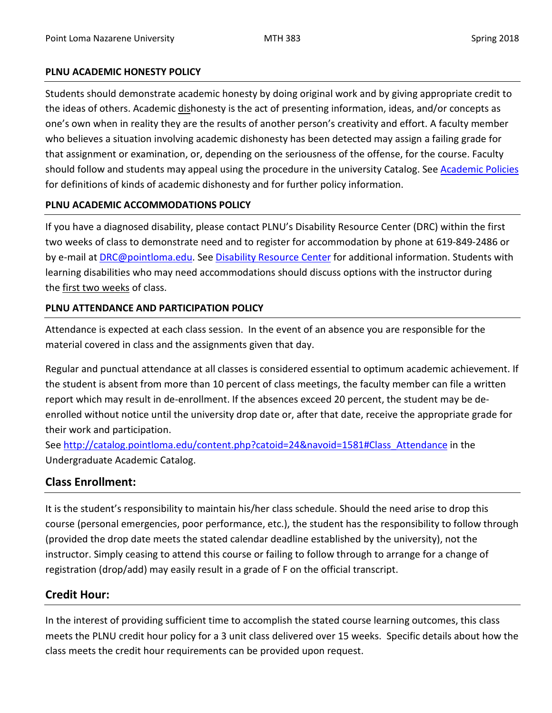#### **PLNU ACADEMIC HONESTY POLICY**

Students should demonstrate academic honesty by doing original work and by giving appropriate credit to the ideas of others. Academic dishonesty is the act of presenting information, ideas, and/or concepts as one's own when in reality they are the results of another person's creativity and effort. A faculty member who believes a situation involving academic dishonesty has been detected may assign a failing grade for that assignment or examination, or, depending on the seriousness of the offense, for the course. Faculty should follow and students may appeal using the procedure in the university Catalog. Se[e Academic Policies](http://catalog.pointloma.edu/content.php?catoid=18&navoid=1278) for definitions of kinds of academic dishonesty and for further policy information.

#### **PLNU ACADEMIC ACCOMMODATIONS POLICY**

If you have a diagnosed disability, please contact PLNU's Disability Resource Center (DRC) within the first two weeks of class to demonstrate need and to register for accommodation by phone at 619-849-2486 or by e-mail at **DRC@pointloma.edu.** See [Disability Resource Center](http://www.pointloma.edu/experience/offices/administrative-offices/academic-advising-office/disability-resource-center) for additional information. Students with learning disabilities who may need accommodations should discuss options with the instructor during the first two weeks of class.

#### **PLNU ATTENDANCE AND PARTICIPATION POLICY**

Attendance is expected at each class session. In the event of an absence you are responsible for the material covered in class and the assignments given that day.

Regular and punctual attendance at all classes is considered essential to optimum academic achievement. If the student is absent from more than 10 percent of class meetings, the faculty member can file a written report which may result in de-enrollment. If the absences exceed 20 percent, the student may be deenrolled without notice until the university drop date or, after that date, receive the appropriate grade for their work and participation.

See [http://catalog.pointloma.edu/content.php?catoid=24&navoid=1581#Class\\_Attendance](http://catalog.pointloma.edu/content.php?catoid=24&navoid=1581#Class_Attendance) in the Undergraduate Academic Catalog.

## **Class Enrollment:**

It is the student's responsibility to maintain his/her class schedule. Should the need arise to drop this course (personal emergencies, poor performance, etc.), the student has the responsibility to follow through (provided the drop date meets the stated calendar deadline established by the university), not the instructor. Simply ceasing to attend this course or failing to follow through to arrange for a change of registration (drop/add) may easily result in a grade of F on the official transcript.

## **Credit Hour:**

In the interest of providing sufficient time to accomplish the stated course learning outcomes, this class meets the PLNU credit hour policy for a 3 unit class delivered over 15 weeks. Specific details about how the class meets the credit hour requirements can be provided upon request.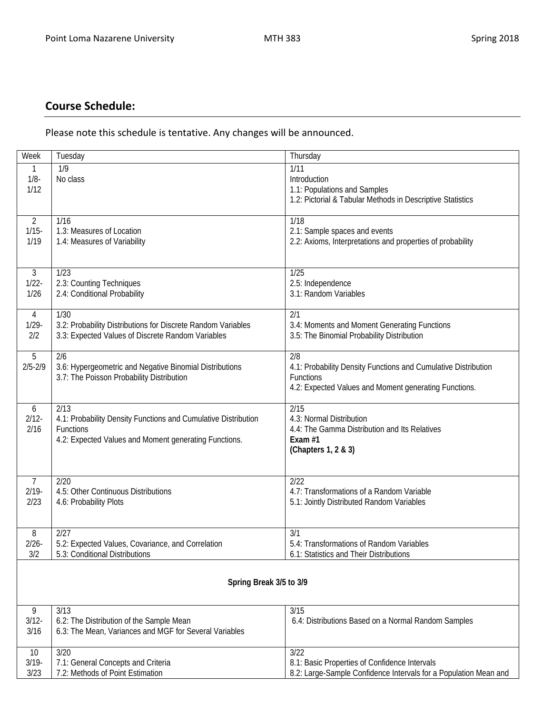# **Course Schedule:**

Please note this schedule is tentative. Any changes will be announced.

| Week                    | Tuesday                                                                                                                                      | Thursday                                                                                                                                    |  |  |  |
|-------------------------|----------------------------------------------------------------------------------------------------------------------------------------------|---------------------------------------------------------------------------------------------------------------------------------------------|--|--|--|
| 1<br>$1/8 -$<br>1/12    | 1/9<br>No class                                                                                                                              | 1/11<br>Introduction<br>1.1: Populations and Samples<br>1.2: Pictorial & Tabular Methods in Descriptive Statistics                          |  |  |  |
| 2                       | 1/16                                                                                                                                         | 1/18                                                                                                                                        |  |  |  |
| $1/15 -$                | 1.3: Measures of Location                                                                                                                    | 2.1: Sample spaces and events                                                                                                               |  |  |  |
| 1/19                    | 1.4: Measures of Variability                                                                                                                 | 2.2: Axioms, Interpretations and properties of probability                                                                                  |  |  |  |
| 3                       | 1/23                                                                                                                                         | 1/25                                                                                                                                        |  |  |  |
| $1/22 -$                | 2.3: Counting Techniques                                                                                                                     | 2.5: Independence                                                                                                                           |  |  |  |
| 1/26                    | 2.4: Conditional Probability                                                                                                                 | 3.1: Random Variables                                                                                                                       |  |  |  |
| 4                       | 1/30                                                                                                                                         | 2/1                                                                                                                                         |  |  |  |
| $1/29 -$                | 3.2: Probability Distributions for Discrete Random Variables                                                                                 | 3.4: Moments and Moment Generating Functions                                                                                                |  |  |  |
| 2/2                     | 3.3: Expected Values of Discrete Random Variables                                                                                            | 3.5: The Binomial Probability Distribution                                                                                                  |  |  |  |
| 5<br>$2/5 - 2/9$        | $\overline{2/6}$<br>3.6: Hypergeometric and Negative Binomial Distributions<br>3.7: The Poisson Probability Distribution                     | 2/8<br>4.1: Probability Density Functions and Cumulative Distribution<br>Functions<br>4.2: Expected Values and Moment generating Functions. |  |  |  |
| 6<br>$2/12 -$<br>2/16   | 2/13<br>4.1: Probability Density Functions and Cumulative Distribution<br>Functions<br>4.2: Expected Values and Moment generating Functions. | 2/15<br>4.3: Normal Distribution<br>4.4: The Gamma Distribution and Its Relatives<br>Exam #1<br>(Chapters 1, 2 & 3)                         |  |  |  |
| $\overline{7}$          | 2/20                                                                                                                                         | 2/22                                                                                                                                        |  |  |  |
| $2/19 -$                | 4.5: Other Continuous Distributions                                                                                                          | 4.7: Transformations of a Random Variable                                                                                                   |  |  |  |
| 2/23                    | 4.6: Probability Plots                                                                                                                       | 5.1: Jointly Distributed Random Variables                                                                                                   |  |  |  |
| 8                       | 2/27                                                                                                                                         | 3/1                                                                                                                                         |  |  |  |
| $2/26 -$                | 5.2: Expected Values, Covariance, and Correlation                                                                                            | 5.4: Transformations of Random Variables                                                                                                    |  |  |  |
| 3/2                     | 5.3: Conditional Distributions                                                                                                               | 6.1: Statistics and Their Distributions                                                                                                     |  |  |  |
| Spring Break 3/5 to 3/9 |                                                                                                                                              |                                                                                                                                             |  |  |  |
| 9<br>$3/12 -$<br>3/16   | 3/13<br>6.2: The Distribution of the Sample Mean<br>6.3: The Mean, Variances and MGF for Several Variables                                   | 3/15<br>6.4: Distributions Based on a Normal Random Samples                                                                                 |  |  |  |
| 10                      | 3/20                                                                                                                                         | 3/22                                                                                                                                        |  |  |  |
| $3/19 -$                | 7.1: General Concepts and Criteria                                                                                                           | 8.1: Basic Properties of Confidence Intervals                                                                                               |  |  |  |
| 3/23                    | 7.2: Methods of Point Estimation                                                                                                             | 8.2: Large-Sample Confidence Intervals for a Population Mean and                                                                            |  |  |  |